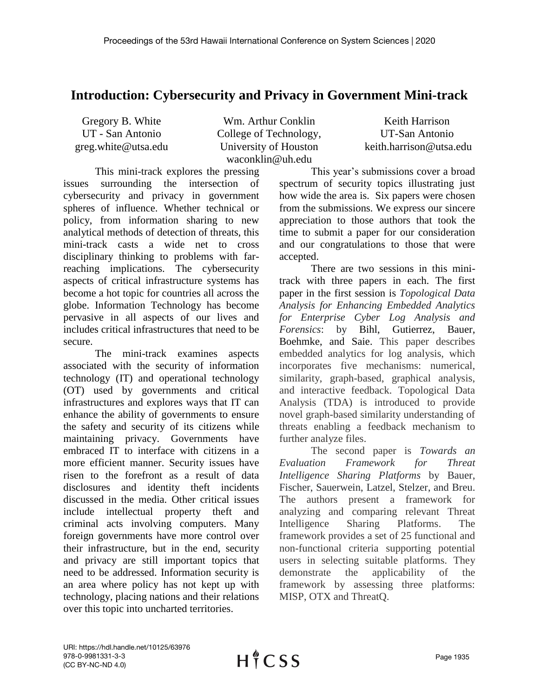## **Introduction: Cybersecurity and Privacy in Government Mini-track**

| Gregory B. White    |
|---------------------|
| UT - San Antonio    |
| greg.white@utsa.edu |

Wm. Arthur Conklin College of Technology, University of Houston waconklin@uh.edu

Keith Harrison UT-San Antonio keith.harrison@utsa.edu

This mini-track explores the pressing issues surrounding the intersection of cybersecurity and privacy in government spheres of influence. Whether technical or policy, from information sharing to new analytical methods of detection of threats, this mini-track casts a wide net to cross disciplinary thinking to problems with farreaching implications. The cybersecurity aspects of critical infrastructure systems has become a hot topic for countries all across the globe. Information Technology has become pervasive in all aspects of our lives and includes critical infrastructures that need to be secure.

The mini-track examines aspects associated with the security of information technology (IT) and operational technology (OT) used by governments and critical infrastructures and explores ways that IT can enhance the ability of governments to ensure the safety and security of its citizens while maintaining privacy. Governments have embraced IT to interface with citizens in a more efficient manner. Security issues have risen to the forefront as a result of data disclosures and identity theft incidents discussed in the media. Other critical issues include intellectual property theft and criminal acts involving computers. Many foreign governments have more control over their infrastructure, but in the end, security and privacy are still important topics that need to be addressed. Information security is an area where policy has not kept up with technology, placing nations and their relations over this topic into uncharted territories.

This year's submissions cover a broad spectrum of security topics illustrating just how wide the area is. Six papers were chosen from the submissions. We express our sincere appreciation to those authors that took the time to submit a paper for our consideration and our congratulations to those that were accepted.

There are two sessions in this minitrack with three papers in each. The first paper in the first session is *Topological Data Analysis for Enhancing Embedded Analytics for Enterprise Cyber Log Analysis and Forensics*: by Bihl, Gutierrez, Bauer, Boehmke, and Saie. This paper describes embedded analytics for log analysis, which incorporates five mechanisms: numerical, similarity, graph-based, graphical analysis, and interactive feedback. Topological Data Analysis (TDA) is introduced to provide novel graph-based similarity understanding of threats enabling a feedback mechanism to further analyze files.

The second paper is *Towards an Evaluation Framework for Threat Intelligence Sharing Platforms* by Bauer, Fischer, Sauerwein, Latzel, Stelzer, and Breu. The authors present a framework for analyzing and comparing relevant Threat Intelligence Sharing Platforms. The framework provides a set of 25 functional and non-functional criteria supporting potential users in selecting suitable platforms. They demonstrate the applicability of the framework by assessing three platforms: MISP, OTX and ThreatQ.